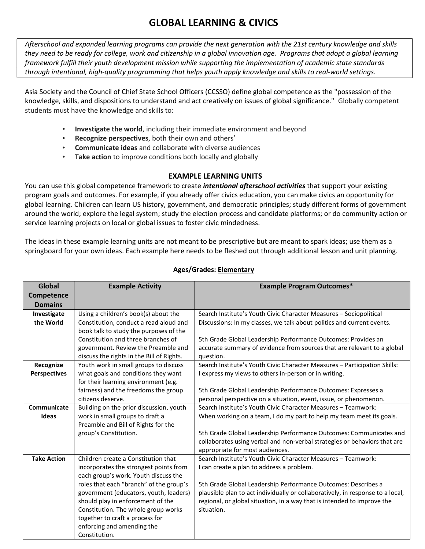# GLOBAL LEARNING & CIVICS

Afterschool and expanded learning programs can provide the next generation with the 21st century knowledge and skills they need to be ready for college, work and citizenship in a global innovation age. Programs that adopt a global learning framework fulfill their youth development mission while supporting the implementation of academic state standards through intentional, high-quality programming that helps youth apply knowledge and skills to real-world settings.

Asia Society and the Council of Chief State School Officers (CCSSO) define global competence as the "possession of the knowledge, skills, and dispositions to understand and act creatively on issues of global significance." Globally competent students must have the knowledge and skills to:

- Investigate the world, including their immediate environment and beyond
- Recognize perspectives, both their own and others'
- Communicate ideas and collaborate with diverse audiences
- Take action to improve conditions both locally and globally

#### EXAMPLE LEARNING UNITS

You can use this global competence framework to create *intentional afterschool activities* that support your existing program goals and outcomes. For example, if you already offer civics education, you can make civics an opportunity for global learning. Children can learn US history, government, and democratic principles; study different forms of government around the world; explore the legal system; study the election process and candidate platforms; or do community action or service learning projects on local or global issues to foster civic mindedness.

The ideas in these example learning units are not meant to be prescriptive but are meant to spark ideas; use them as a springboard for your own ideas. Each example here needs to be fleshed out through additional lesson and unit planning.

| Global              | <b>Example Activity</b>                   | <b>Example Program Outcomes*</b>                                               |
|---------------------|-------------------------------------------|--------------------------------------------------------------------------------|
| Competence          |                                           |                                                                                |
| <b>Domains</b>      |                                           |                                                                                |
| Investigate         | Using a children's book(s) about the      | Search Institute's Youth Civic Character Measures - Sociopolitical             |
| the World           | Constitution, conduct a read aloud and    | Discussions: In my classes, we talk about politics and current events.         |
|                     | book talk to study the purposes of the    |                                                                                |
|                     | Constitution and three branches of        | 5th Grade Global Leadership Performance Outcomes: Provides an                  |
|                     | government. Review the Preamble and       | accurate summary of evidence from sources that are relevant to a global        |
|                     | discuss the rights in the Bill of Rights. | question.                                                                      |
| Recognize           | Youth work in small groups to discuss     | Search Institute's Youth Civic Character Measures - Participation Skills:      |
| <b>Perspectives</b> | what goals and conditions they want       | I express my views to others in-person or in writing.                          |
|                     | for their learning environment (e.g.      |                                                                                |
|                     | fairness) and the freedoms the group      | 5th Grade Global Leadership Performance Outcomes: Expresses a                  |
|                     | citizens deserve.                         | personal perspective on a situation, event, issue, or phenomenon.              |
| Communicate         | Building on the prior discussion, youth   | Search Institute's Youth Civic Character Measures - Teamwork:                  |
| Ideas               | work in small groups to draft a           | When working on a team, I do my part to help my team meet its goals.           |
|                     | Preamble and Bill of Rights for the       |                                                                                |
|                     | group's Constitution.                     | 5th Grade Global Leadership Performance Outcomes: Communicates and             |
|                     |                                           | collaborates using verbal and non-verbal strategies or behaviors that are      |
|                     |                                           | appropriate for most audiences.                                                |
| <b>Take Action</b>  | Children create a Constitution that       | Search Institute's Youth Civic Character Measures - Teamwork:                  |
|                     | incorporates the strongest points from    | I can create a plan to address a problem.                                      |
|                     | each group's work. Youth discuss the      |                                                                                |
|                     | roles that each "branch" of the group's   | 5th Grade Global Leadership Performance Outcomes: Describes a                  |
|                     | government (educators, youth, leaders)    | plausible plan to act individually or collaboratively, in response to a local, |
|                     | should play in enforcement of the         | regional, or global situation, in a way that is intended to improve the        |
|                     | Constitution. The whole group works       | situation.                                                                     |
|                     | together to craft a process for           |                                                                                |
|                     | enforcing and amending the                |                                                                                |
|                     | Constitution.                             |                                                                                |

### Ages/Grades: Elementary